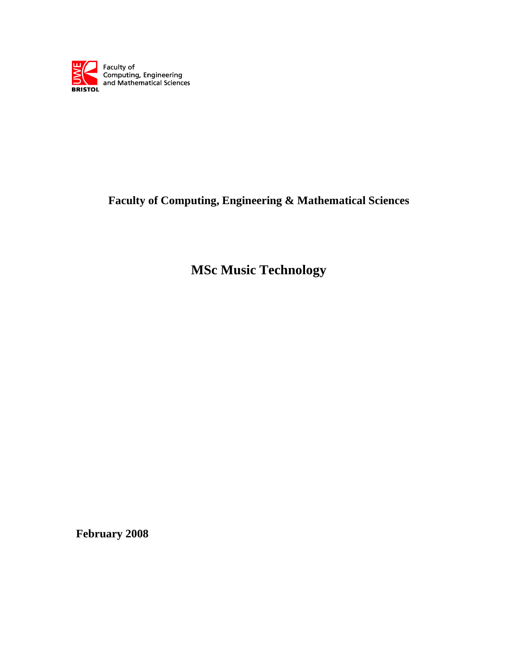

# **Faculty of Computing, Engineering & Mathematical Sciences**

**MSc Music Technology**

**February 2008**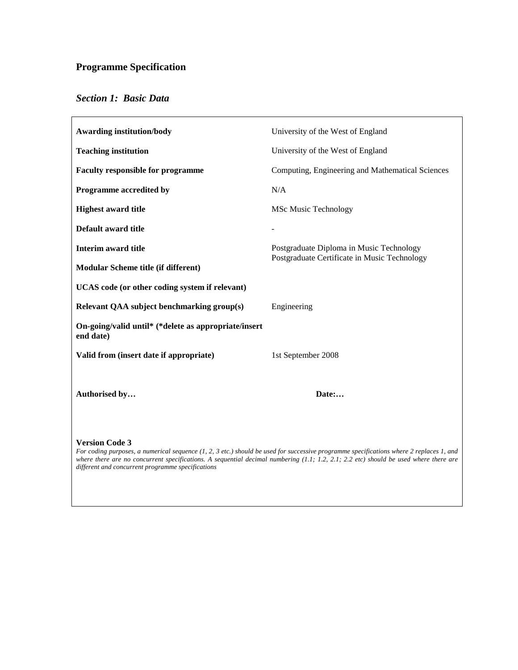# **Programme Specification**

# *Section 1: Basic Data*

| <b>Awarding institution/body</b>                                                                                                                                                                                                                                                                                                                                | University of the West of England                |  |  |
|-----------------------------------------------------------------------------------------------------------------------------------------------------------------------------------------------------------------------------------------------------------------------------------------------------------------------------------------------------------------|--------------------------------------------------|--|--|
| <b>Teaching institution</b>                                                                                                                                                                                                                                                                                                                                     | University of the West of England                |  |  |
| <b>Faculty responsible for programme</b>                                                                                                                                                                                                                                                                                                                        | Computing, Engineering and Mathematical Sciences |  |  |
| Programme accredited by                                                                                                                                                                                                                                                                                                                                         | N/A                                              |  |  |
| <b>Highest award title</b>                                                                                                                                                                                                                                                                                                                                      | <b>MSc Music Technology</b>                      |  |  |
| Default award title                                                                                                                                                                                                                                                                                                                                             |                                                  |  |  |
| <b>Interim award title</b><br>Postgraduate Diploma in Music Technology<br>Postgraduate Certificate in Music Technology                                                                                                                                                                                                                                          |                                                  |  |  |
| <b>Modular Scheme title (if different)</b>                                                                                                                                                                                                                                                                                                                      |                                                  |  |  |
| UCAS code (or other coding system if relevant)                                                                                                                                                                                                                                                                                                                  |                                                  |  |  |
| Relevant QAA subject benchmarking group(s)                                                                                                                                                                                                                                                                                                                      | Engineering                                      |  |  |
| On-going/valid until* (*delete as appropriate/insert<br>end date)                                                                                                                                                                                                                                                                                               |                                                  |  |  |
| Valid from (insert date if appropriate)                                                                                                                                                                                                                                                                                                                         | 1st September 2008                               |  |  |
| Authorised by                                                                                                                                                                                                                                                                                                                                                   | Date:                                            |  |  |
| <b>Version Code 3</b><br>For coding purposes, a numerical sequence (1, 2, 3 etc.) should be used for successive programme specifications where 2 replaces 1, and<br>where there are no concurrent specifications. A sequential decimal numbering $(1.1; 1.2, 2.1; 2.2$ etc) should be used where there are<br>different and concurrent programme specifications |                                                  |  |  |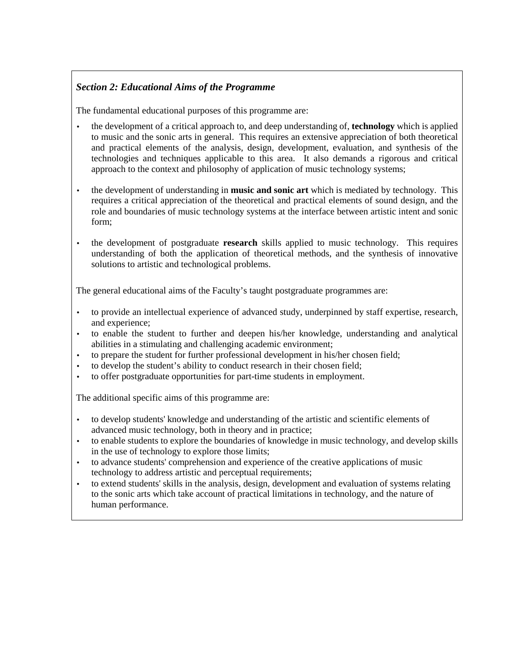# *Section 2: Educational Aims of the Programme*

The fundamental educational purposes of this programme are:

- the development of a critical approach to, and deep understanding of, **technology** which is applied to music and the sonic arts in general. This requires an extensive appreciation of both theoretical and practical elements of the analysis, design, development, evaluation, and synthesis of the technologies and techniques applicable to this area. It also demands a rigorous and critical approach to the context and philosophy of application of music technology systems;
- the development of understanding in **music and sonic art** which is mediated by technology. This requires a critical appreciation of the theoretical and practical elements of sound design, and the role and boundaries of music technology systems at the interface between artistic intent and sonic form;
- the development of postgraduate **research** skills applied to music technology. This requires understanding of both the application of theoretical methods, and the synthesis of innovative solutions to artistic and technological problems.

The general educational aims of the Faculty's taught postgraduate programmes are:

- to provide an intellectual experience of advanced study, underpinned by staff expertise, research, and experience;
- to enable the student to further and deepen his/her knowledge, understanding and analytical abilities in a stimulating and challenging academic environment;
- to prepare the student for further professional development in his/her chosen field;
- to develop the student's ability to conduct research in their chosen field;
- to offer postgraduate opportunities for part-time students in employment.

The additional specific aims of this programme are:

- to develop students' knowledge and understanding of the artistic and scientific elements of advanced music technology, both in theory and in practice;
- to enable students to explore the boundaries of knowledge in music technology, and develop skills in the use of technology to explore those limits;
- to advance students' comprehension and experience of the creative applications of music technology to address artistic and perceptual requirements;
- to extend students' skills in the analysis, design, development and evaluation of systems relating to the sonic arts which take account of practical limitations in technology, and the nature of human performance.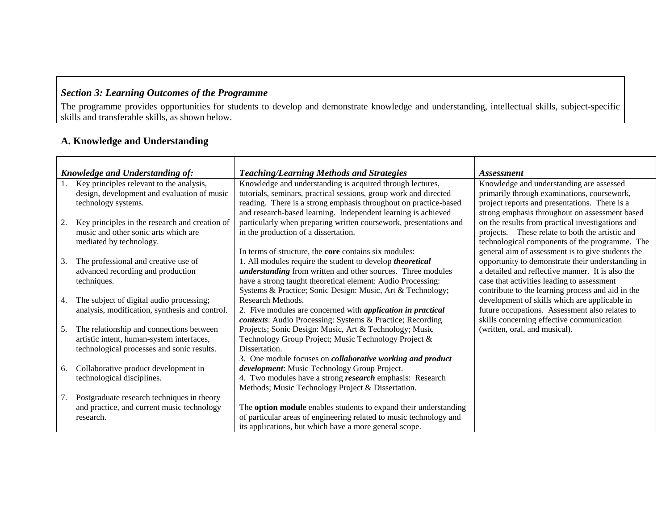# *Section 3: Learning Outcomes of the Programme*

The programme provides opportunities for students to develop and demonstrate knowledge and understanding, intellectual skills, subject-specific skills and transferable skills, as shown below.

# **A. Knowledge and Understanding**

|    | <b>Knowledge and Understanding of:</b>         | <b>Teaching/Learning Methods and Strategies</b>                    | <i><b>Assessment</b></i>                          |
|----|------------------------------------------------|--------------------------------------------------------------------|---------------------------------------------------|
|    | Key principles relevant to the analysis,       | Knowledge and understanding is acquired through lectures,          | Knowledge and understanding are assessed          |
|    | design, development and evaluation of music    | tutorials, seminars, practical sessions, group work and directed   | primarily through examinations, coursework,       |
|    | technology systems.                            | reading. There is a strong emphasis throughout on practice-based   | project reports and presentations. There is a     |
|    |                                                | and research-based learning. Independent learning is achieved      | strong emphasis throughout on assessment based    |
| 2. | Key principles in the research and creation of | particularly when preparing written coursework, presentations and  | on the results from practical investigations and  |
|    | music and other sonic arts which are           | in the production of a dissertation.                               | projects. These relate to both the artistic and   |
|    | mediated by technology.                        |                                                                    | technological components of the programme. The    |
|    |                                                | In terms of structure, the <b>core</b> contains six modules:       | general aim of assessment is to give students the |
| 3. | The professional and creative use of           | 1. All modules require the student to develop <i>theoretical</i>   | opportunity to demonstrate their understanding in |
|    | advanced recording and production              | <i>understanding</i> from written and other sources. Three modules | a detailed and reflective manner. It is also the  |
|    | techniques.                                    | have a strong taught theoretical element: Audio Processing:        | case that activities leading to assessment        |
|    |                                                | Systems & Practice; Sonic Design: Music, Art & Technology;         | contribute to the learning process and aid in the |
| 4. | The subject of digital audio processing;       | Research Methods.                                                  | development of skills which are applicable in     |
|    | analysis, modification, synthesis and control. | 2. Five modules are concerned with <i>application in practical</i> | future occupations. Assessment also relates to    |
|    |                                                | contexts: Audio Processing: Systems & Practice; Recording          | skills concerning effective communication         |
| 5. | The relationship and connections between       | Projects; Sonic Design: Music, Art & Technology; Music             | (written, oral, and musical).                     |
|    | artistic intent, human-system interfaces,      | Technology Group Project; Music Technology Project &               |                                                   |
|    | technological processes and sonic results.     | Dissertation.                                                      |                                                   |
|    |                                                | 3. One module focuses on <i>collaborative working and product</i>  |                                                   |
| 6. | Collaborative product development in           | development: Music Technology Group Project.                       |                                                   |
|    | technological disciplines.                     | 4. Two modules have a strong <i>research</i> emphasis: Research    |                                                   |
|    |                                                | Methods; Music Technology Project & Dissertation.                  |                                                   |
| 7. | Postgraduate research techniques in theory     |                                                                    |                                                   |
|    | and practice, and current music technology     | The option module enables students to expand their understanding   |                                                   |
|    | research.                                      | of particular areas of engineering related to music technology and |                                                   |
|    |                                                | its applications, but which have a more general scope.             |                                                   |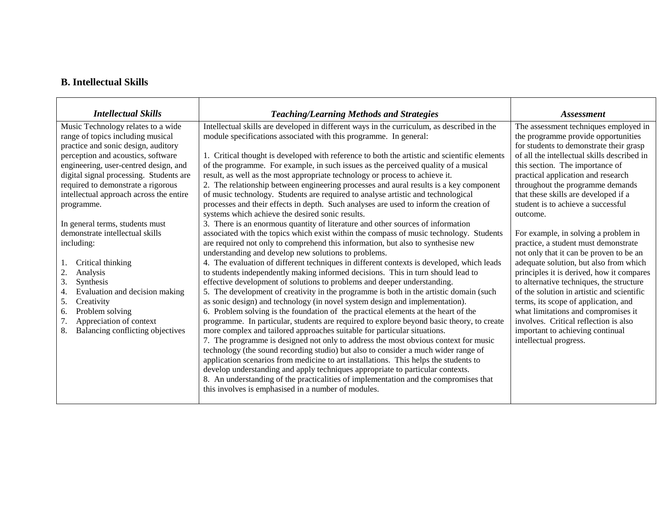## **B. Intellectual Skills**

| <b>Intellectual Skills</b>              |                                                                                              |                                             |  |
|-----------------------------------------|----------------------------------------------------------------------------------------------|---------------------------------------------|--|
|                                         | <b>Teaching/Learning Methods and Strategies</b>                                              | <i>Assessment</i>                           |  |
| Music Technology relates to a wide      | Intellectual skills are developed in different ways in the curriculum, as described in the   | The assessment techniques employed in       |  |
| range of topics including musical       | module specifications associated with this programme. In general:                            | the programme provide opportunities         |  |
| practice and sonic design, auditory     |                                                                                              | for students to demonstrate their grasp     |  |
| perception and acoustics, software      | 1. Critical thought is developed with reference to both the artistic and scientific elements | of all the intellectual skills described in |  |
| engineering, user-centred design, and   | of the programme. For example, in such issues as the perceived quality of a musical          | this section. The importance of             |  |
| digital signal processing. Students are | result, as well as the most appropriate technology or process to achieve it.                 | practical application and research          |  |
| required to demonstrate a rigorous      | 2. The relationship between engineering processes and aural results is a key component       | throughout the programme demands            |  |
| intellectual approach across the entire | of music technology. Students are required to analyse artistic and technological             | that these skills are developed if a        |  |
| programme.                              | processes and their effects in depth. Such analyses are used to inform the creation of       | student is to achieve a successful          |  |
|                                         | systems which achieve the desired sonic results.                                             | outcome.                                    |  |
| In general terms, students must         | 3. There is an enormous quantity of literature and other sources of information              |                                             |  |
| demonstrate intellectual skills         | associated with the topics which exist within the compass of music technology. Students      | For example, in solving a problem in        |  |
| including:                              | are required not only to comprehend this information, but also to synthesise new             | practice, a student must demonstrate        |  |
|                                         | understanding and develop new solutions to problems.                                         | not only that it can be proven to be an     |  |
| Critical thinking<br>-1.                | 4. The evaluation of different techniques in different contexts is developed, which leads    | adequate solution, but also from which      |  |
| 2.<br>Analysis                          | to students independently making informed decisions. This in turn should lead to             | principles it is derived, how it compares   |  |
| 3.<br>Synthesis                         | effective development of solutions to problems and deeper understanding.                     | to alternative techniques, the structure    |  |
| Evaluation and decision making<br>4.    | 5. The development of creativity in the programme is both in the artistic domain (such       | of the solution in artistic and scientific  |  |
| 5.<br>Creativity                        | as sonic design) and technology (in novel system design and implementation).                 | terms, its scope of application, and        |  |
| Problem solving<br>6.                   | 6. Problem solving is the foundation of the practical elements at the heart of the           | what limitations and compromises it         |  |
| 7.<br>Appreciation of context           | programme. In particular, students are required to explore beyond basic theory, to create    | involves. Critical reflection is also       |  |
| 8.<br>Balancing conflicting objectives  | more complex and tailored approaches suitable for particular situations.                     | important to achieving continual            |  |
|                                         | 7. The programme is designed not only to address the most obvious context for music          | intellectual progress.                      |  |
|                                         | technology (the sound recording studio) but also to consider a much wider range of           |                                             |  |
|                                         | application scenarios from medicine to art installations. This helps the students to         |                                             |  |
|                                         | develop understanding and apply techniques appropriate to particular contexts.               |                                             |  |
|                                         | 8. An understanding of the practicalities of implementation and the compromises that         |                                             |  |
|                                         | this involves is emphasised in a number of modules.                                          |                                             |  |
|                                         |                                                                                              |                                             |  |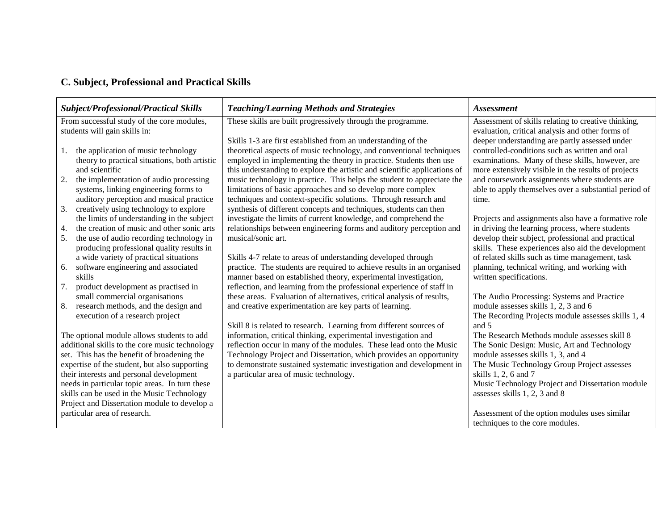## **C. Subject, Professional and Practical Skills**

|                                                | <b>Subject/Professional/Practical Skills</b>     | <b>Teaching/Learning Methods and Strategies</b>                           | <b>Assessment</b>                                     |
|------------------------------------------------|--------------------------------------------------|---------------------------------------------------------------------------|-------------------------------------------------------|
| From successful study of the core modules,     |                                                  | These skills are built progressively through the programme.               | Assessment of skills relating to creative thinking,   |
|                                                | students will gain skills in:                    |                                                                           | evaluation, critical analysis and other forms of      |
|                                                |                                                  | Skills 1-3 are first established from an understanding of the             | deeper understanding are partly assessed under        |
|                                                | the application of music technology<br>1.        | theoretical aspects of music technology, and conventional techniques      | controlled-conditions such as written and oral        |
|                                                | theory to practical situations, both artistic    | employed in implementing the theory in practice. Students then use        | examinations. Many of these skills, however, are      |
|                                                | and scientific                                   | this understanding to explore the artistic and scientific applications of | more extensively visible in the results of projects   |
|                                                | 2.<br>the implementation of audio processing     | music technology in practice. This helps the student to appreciate the    | and coursework assignments where students are         |
|                                                | systems, linking engineering forms to            | limitations of basic approaches and so develop more complex               | able to apply themselves over a substantial period of |
|                                                | auditory perception and musical practice         | techniques and context-specific solutions. Through research and           | time.                                                 |
|                                                | creatively using technology to explore<br>3.     | synthesis of different concepts and techniques, students can then         |                                                       |
|                                                | the limits of understanding in the subject       | investigate the limits of current knowledge, and comprehend the           | Projects and assignments also have a formative role   |
|                                                | the creation of music and other sonic arts<br>4. | relationships between engineering forms and auditory perception and       | in driving the learning process, where students       |
|                                                | 5.<br>the use of audio recording technology in   | musical/sonic art.                                                        | develop their subject, professional and practical     |
|                                                | producing professional quality results in        |                                                                           | skills. These experiences also aid the development    |
|                                                | a wide variety of practical situations           | Skills 4-7 relate to areas of understanding developed through             | of related skills such as time management, task       |
|                                                | software engineering and associated<br>6.        | practice. The students are required to achieve results in an organised    | planning, technical writing, and working with         |
|                                                | skills                                           | manner based on established theory, experimental investigation,           | written specifications.                               |
|                                                | product development as practised in<br>7.        | reflection, and learning from the professional experience of staff in     |                                                       |
|                                                | small commercial organisations                   | these areas. Evaluation of alternatives, critical analysis of results,    | The Audio Processing: Systems and Practice            |
|                                                | research methods, and the design and<br>8.       | and creative experimentation are key parts of learning.                   | module assesses skills 1, 2, 3 and 6                  |
|                                                | execution of a research project                  |                                                                           | The Recording Projects module assesses skills 1, 4    |
|                                                |                                                  | Skill 8 is related to research. Learning from different sources of        | and 5                                                 |
|                                                | The optional module allows students to add       | information, critical thinking, experimental investigation and            | The Research Methods module assesses skill 8          |
| additional skills to the core music technology |                                                  | reflection occur in many of the modules. These lead onto the Music        | The Sonic Design: Music, Art and Technology           |
|                                                | set. This has the benefit of broadening the      | Technology Project and Dissertation, which provides an opportunity        | module assesses skills 1, 3, and 4                    |
|                                                | expertise of the student, but also supporting    | to demonstrate sustained systematic investigation and development in      | The Music Technology Group Project assesses           |
|                                                | their interests and personal development         | a particular area of music technology.                                    | skills 1, 2, 6 and 7                                  |
|                                                | needs in particular topic areas. In turn these   |                                                                           | Music Technology Project and Dissertation module      |
|                                                | skills can be used in the Music Technology       |                                                                           | assesses skills 1, 2, 3 and 8                         |
|                                                | Project and Dissertation module to develop a     |                                                                           |                                                       |
|                                                | particular area of research.                     |                                                                           | Assessment of the option modules uses similar         |
|                                                |                                                  |                                                                           | techniques to the core modules.                       |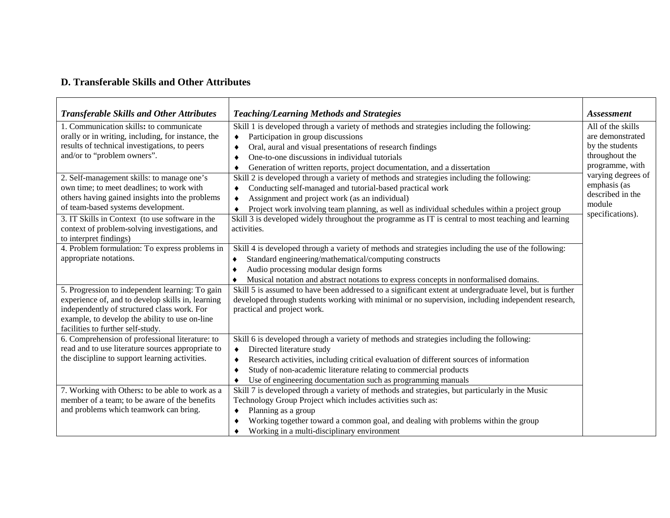## **D. Transferable Skills and Other Attributes**

| <b>Transferable Skills and Other Attributes</b>    | <b>Teaching/Learning Methods and Strategies</b>                                                          | <i>Assessment</i>  |
|----------------------------------------------------|----------------------------------------------------------------------------------------------------------|--------------------|
| 1. Communication skills: to communicate            | Skill 1 is developed through a variety of methods and strategies including the following:                | All of the skills  |
| orally or in writing, including, for instance, the | Participation in group discussions<br>٠                                                                  | are demonstrated   |
| results of technical investigations, to peers      | Oral, aural and visual presentations of research findings<br>٠                                           | by the students    |
| and/or to "problem owners".                        | One-to-one discussions in individual tutorials<br>٠                                                      | throughout the     |
|                                                    | Generation of written reports, project documentation, and a dissertation<br>٠                            | programme, with    |
| 2. Self-management skills: to manage one's         | Skill 2 is developed through a variety of methods and strategies including the following:                | varying degrees of |
| own time; to meet deadlines; to work with          | Conducting self-managed and tutorial-based practical work<br>٠                                           | emphasis (as       |
| others having gained insights into the problems    | Assignment and project work (as an individual)<br>٠                                                      | described in the   |
| of team-based systems development.                 | Project work involving team planning, as well as individual schedules within a project group<br>٠        | module             |
| 3. IT Skills in Context (to use software in the    | Skill 3 is developed widely throughout the programme as IT is central to most teaching and learning      | specifications).   |
| context of problem-solving investigations, and     | activities.                                                                                              |                    |
| to interpret findings)                             |                                                                                                          |                    |
| 4. Problem formulation: To express problems in     | Skill 4 is developed through a variety of methods and strategies including the use of the following:     |                    |
| appropriate notations.                             | Standard engineering/mathematical/computing constructs<br>٠                                              |                    |
|                                                    | Audio processing modular design forms<br>٠                                                               |                    |
|                                                    | Musical notation and abstract notations to express concepts in nonformalised domains.                    |                    |
| 5. Progression to independent learning: To gain    | Skill 5 is assumed to have been addressed to a significant extent at undergraduate level, but is further |                    |
| experience of, and to develop skills in, learning  | developed through students working with minimal or no supervision, including independent research,       |                    |
| independently of structured class work. For        | practical and project work.                                                                              |                    |
| example, to develop the ability to use on-line     |                                                                                                          |                    |
| facilities to further self-study.                  |                                                                                                          |                    |
| 6. Comprehension of professional literature: to    | Skill 6 is developed through a variety of methods and strategies including the following:                |                    |
| read and to use literature sources appropriate to  | Directed literature study<br>٠                                                                           |                    |
| the discipline to support learning activities.     | Research activities, including critical evaluation of different sources of information<br>٠              |                    |
|                                                    | Study of non-academic literature relating to commercial products<br>٠                                    |                    |
|                                                    | Use of engineering documentation such as programming manuals<br>٠                                        |                    |
| 7. Working with Others: to be able to work as a    | Skill 7 is developed through a variety of methods and strategies, but particularly in the Music          |                    |
| member of a team; to be aware of the benefits      | Technology Group Project which includes activities such as:                                              |                    |
| and problems which teamwork can bring.             | Planning as a group<br>٠                                                                                 |                    |
|                                                    | Working together toward a common goal, and dealing with problems within the group                        |                    |
|                                                    | Working in a multi-disciplinary environment<br>٠                                                         |                    |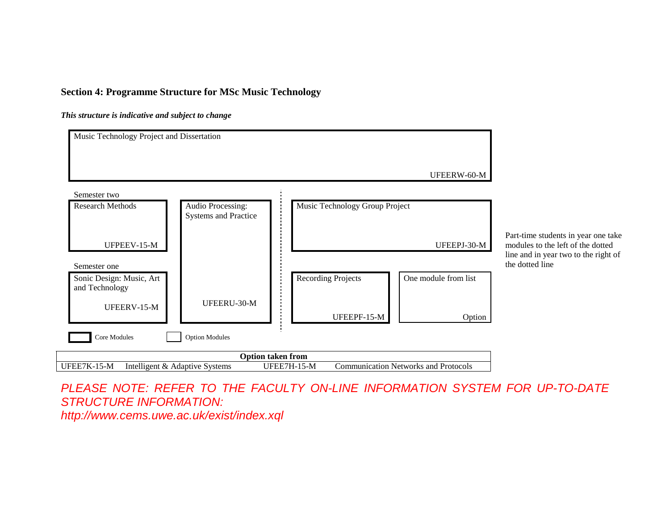## **Section 4: Programme Structure for MSc Music Technology**

*This structure is indicative and subject to change*



PLEASE NOTE: REFER TO THE FACULTY ON-LINE INFORMATION SYSTEM FOR UP-TO-DATE STRUCTURE INFORMATION:

http://www.cems.uwe.ac.uk/exist/index.xql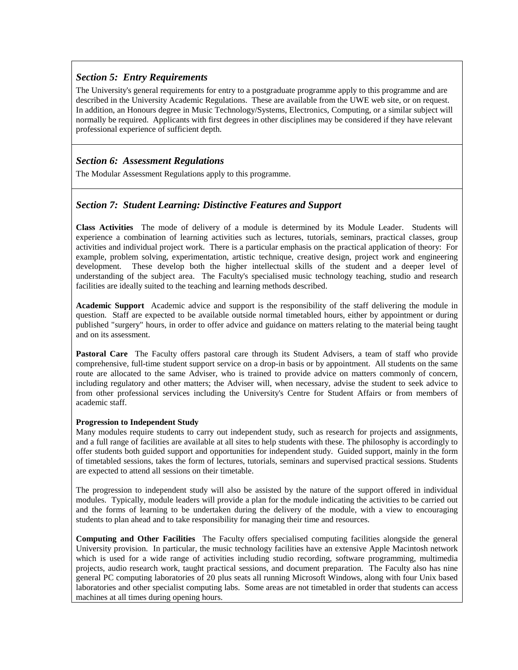## *Section 5: Entry Requirements*

The University's general requirements for entry to a postgraduate programme apply to this programme and are described in the University Academic Regulations. These are available from the UWE web site, or on request. In addition, an Honours degree in Music Technology/Systems, Electronics, Computing, or a similar subject will normally be required. Applicants with first degrees in other disciplines may be considered if they have relevant professional experience of sufficient depth.

### *Section 6: Assessment Regulations*

The Modular Assessment Regulations apply to this programme.

## *Section 7: Student Learning: Distinctive Features and Support*

**Class Activities** The mode of delivery of a module is determined by its Module Leader. Students will experience a combination of learning activities such as lectures, tutorials, seminars, practical classes, group activities and individual project work. There is a particular emphasis on the practical application of theory: For example, problem solving, experimentation, artistic technique, creative design, project work and engineering development. These develop both the higher intellectual skills of the student and a deeper level of understanding of the subject area. The Faculty's specialised music technology teaching, studio and research facilities are ideally suited to the teaching and learning methods described.

**Academic Support** Academic advice and support is the responsibility of the staff delivering the module in question. Staff are expected to be available outside normal timetabled hours, either by appointment or during published "surgery" hours, in order to offer advice and guidance on matters relating to the material being taught and on its assessment.

**Pastoral Care** The Faculty offers pastoral care through its Student Advisers, a team of staff who provide comprehensive, full-time student support service on a drop-in basis or by appointment. All students on the same route are allocated to the same Adviser, who is trained to provide advice on matters commonly of concern, including regulatory and other matters; the Adviser will, when necessary, advise the student to seek advice to from other professional services including the University's Centre for Student Affairs or from members of academic staff.

#### **Progression to Independent Study**

Many modules require students to carry out independent study, such as research for projects and assignments, and a full range of facilities are available at all sites to help students with these. The philosophy is accordingly to offer students both guided support and opportunities for independent study. Guided support, mainly in the form of timetabled sessions, takes the form of lectures, tutorials, seminars and supervised practical sessions. Students are expected to attend all sessions on their timetable.

The progression to independent study will also be assisted by the nature of the support offered in individual modules. Typically, module leaders will provide a plan for the module indicating the activities to be carried out and the forms of learning to be undertaken during the delivery of the module, with a view to encouraging students to plan ahead and to take responsibility for managing their time and resources.

**Computing and Other Facilities** The Faculty offers specialised computing facilities alongside the general University provision. In particular, the music technology facilities have an extensive Apple Macintosh network which is used for a wide range of activities including studio recording, software programming, multimedia projects, audio research work, taught practical sessions, and document preparation. The Faculty also has nine general PC computing laboratories of 20 plus seats all running Microsoft Windows, along with four Unix based laboratories and other specialist computing labs. Some areas are not timetabled in order that students can access machines at all times during opening hours.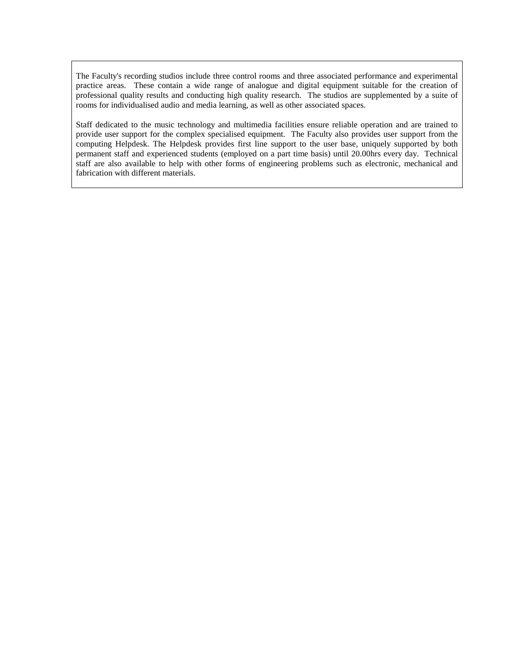The Faculty's recording studios include three control rooms and three associated performance and experimental practice areas. These contain a wide range of analogue and digital equipment suitable for the creation of professional quality results and conducting high quality research. The studios are supplemented by a suite of rooms for individualised audio and media learning, as well as other associated spaces.

Staff dedicated to the music technology and multimedia facilities ensure reliable operation and are trained to provide user support for the complex specialised equipment. The Faculty also provides user support from the computing Helpdesk. The Helpdesk provides first line support to the user base, uniquely supported by both permanent staff and experienced students (employed on a part time basis) until 20.00hrs every day. Technical staff are also available to help with other forms of engineering problems such as electronic, mechanical and fabrication with different materials.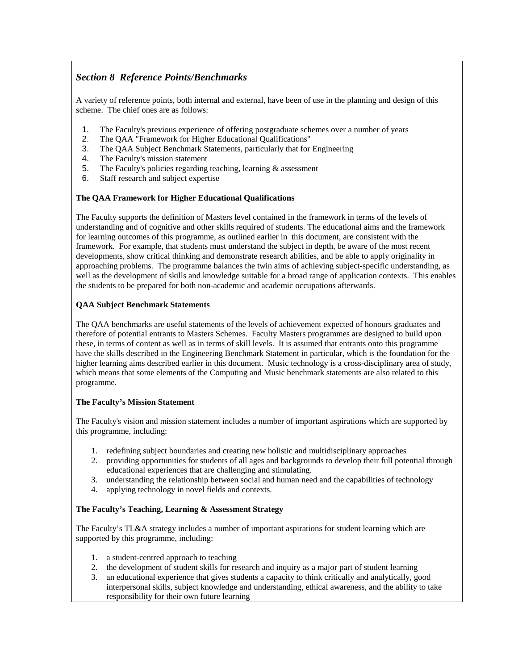# *Section 8 Reference Points/Benchmarks*

A variety of reference points, both internal and external, have been of use in the planning and design of this scheme. The chief ones are as follows:

- 1. The Faculty's previous experience of offering postgraduate schemes over a number of years
- 2. The QAA "Framework for Higher Educational Qualifications"
- 3. The QAA Subject Benchmark Statements, particularly that for Engineering
- 4. The Faculty's mission statement
- 5. The Faculty's policies regarding teaching, learning & assessment
- 6. Staff research and subject expertise

#### **The QAA Framework for Higher Educational Qualifications**

The Faculty supports the definition of Masters level contained in the framework in terms of the levels of understanding and of cognitive and other skills required of students. The educational aims and the framework for learning outcomes of this programme, as outlined earlier in this document, are consistent with the framework. For example, that students must understand the subject in depth, be aware of the most recent developments, show critical thinking and demonstrate research abilities, and be able to apply originality in approaching problems. The programme balances the twin aims of achieving subject-specific understanding, as well as the development of skills and knowledge suitable for a broad range of application contexts. This enables the students to be prepared for both non-academic and academic occupations afterwards.

#### **QAA Subject Benchmark Statements**

The QAA benchmarks are useful statements of the levels of achievement expected of honours graduates and therefore of potential entrants to Masters Schemes. Faculty Masters programmes are designed to build upon these, in terms of content as well as in terms of skill levels. It is assumed that entrants onto this programme have the skills described in the Engineering Benchmark Statement in particular, which is the foundation for the higher learning aims described earlier in this document. Music technology is a cross-disciplinary area of study, which means that some elements of the Computing and Music benchmark statements are also related to this programme.

#### **The Faculty's Mission Statement**

The Faculty's vision and mission statement includes a number of important aspirations which are supported by this programme, including:

- 1. redefining subject boundaries and creating new holistic and multidisciplinary approaches
- 2. providing opportunities for students of all ages and backgrounds to develop their full potential through educational experiences that are challenging and stimulating.
- 3. understanding the relationship between social and human need and the capabilities of technology
- 4. applying technology in novel fields and contexts.

#### **The Faculty's Teaching, Learning & Assessment Strategy**

The Faculty's TL&A strategy includes a number of important aspirations for student learning which are supported by this programme, including:

- 1. a student-centred approach to teaching
- 2. the development of student skills for research and inquiry as a major part of student learning
- 3. an educational experience that gives students a capacity to think critically and analytically, good interpersonal skills, subject knowledge and understanding, ethical awareness, and the ability to take responsibility for their own future learning